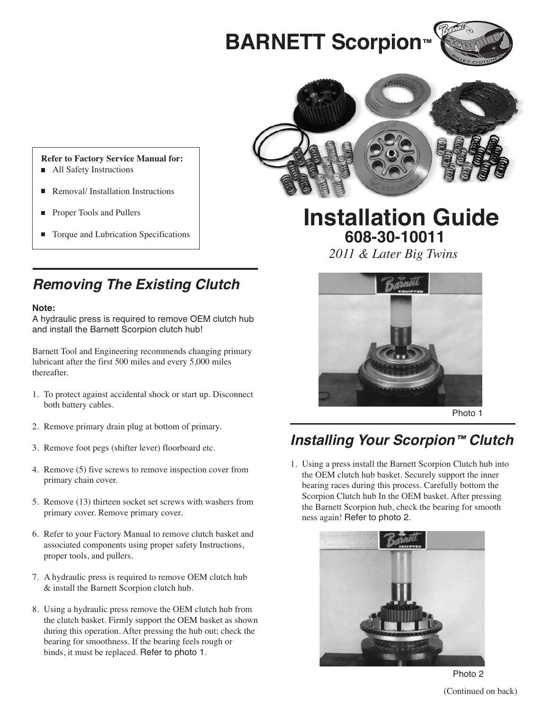# **BARNETT Scorpion™**





#### **Refer to Factory Service Manual for:**

- All Safety Instructions
- Removal/ Installation Instructions
- Proper Tools and Pullers
- Torque and Lubrication Specifications

### **Removing The Existing Clutch**

#### **Note:**

A hydraulic press is required to remove OEM clutch hub and install the Barnett Scorpion clutch hub!

Barnett Tool and Engineering recommends changing primary lubricant after the first 500 miles and every 5,000 miles thereafter.

- 1. To protect against accidental shock or start up. Disconnect both battery cables.
- 2. Remove primary drain plug at bottom of primary.
- 3. Remove foot pegs (shifter lever) floorboard etc.
- 4. Remove (5) five screws to remove inspection cover from primary chain cover.
- 5. Remove (13) thirteen socket set screws with washers from primary cover. Remove primary cover.
- 6. Refer to your Factory Manual to remove clutch basket and associated components using proper safety Instructions, proper tools, and pullers.
- 7. A hydraulic press is required to remove OEM clutch hub & install the Barnett Scorpion clutch hub.
- 8. Using a hydraulic press remove the OEM clutch hub from the clutch basket. Firmly support the OEM basket as shown during this operation. After pressing the hub out; check the bearing for smoothness. If the bearing feels rough or binds, it must be replaced. Refer to photo 1.

## **Installation Guide 608-30-10011**

*2011 & Later Big Twins*



Photo 1

### **Installing Your Scorpion™ Clutch**

1. Using a press install the Barnett Scorpion Clutch hub into the OEM clutch hub basket. Securely support the inner bearing races during this process. Carefully bottom the Scorpion Clutch hub In the OEM basket. After pressing the Barnett Scorpion hub, check the bearing for smooth ness again! Refer to photo 2.



Photo 2 (Continued on back)